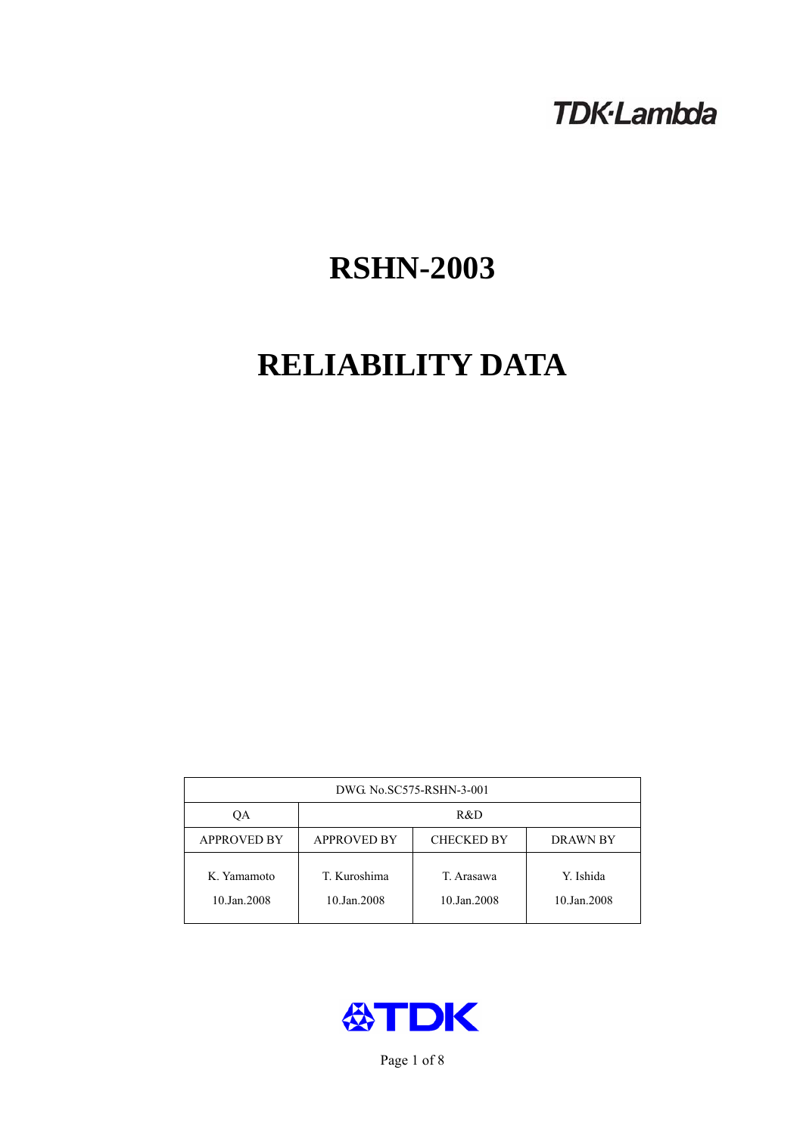# **TDK-Lambda**

# **RSHN-2003**

# **RELIABILITY DATA**

| DWG No.SC575-RSHN-3-001    |                                                            |                           |                          |  |  |
|----------------------------|------------------------------------------------------------|---------------------------|--------------------------|--|--|
| QA                         | R&D                                                        |                           |                          |  |  |
| <b>APPROVED BY</b>         | <b>APPROVED BY</b><br><b>CHECKED BY</b><br><b>DRAWN BY</b> |                           |                          |  |  |
| K. Yamamoto<br>10.Jan.2008 | T. Kuroshima<br>10.Jan.2008                                | T. Arasawa<br>10.Jan.2008 | Y. Ishida<br>10.Jan.2008 |  |  |



Page 1 of 8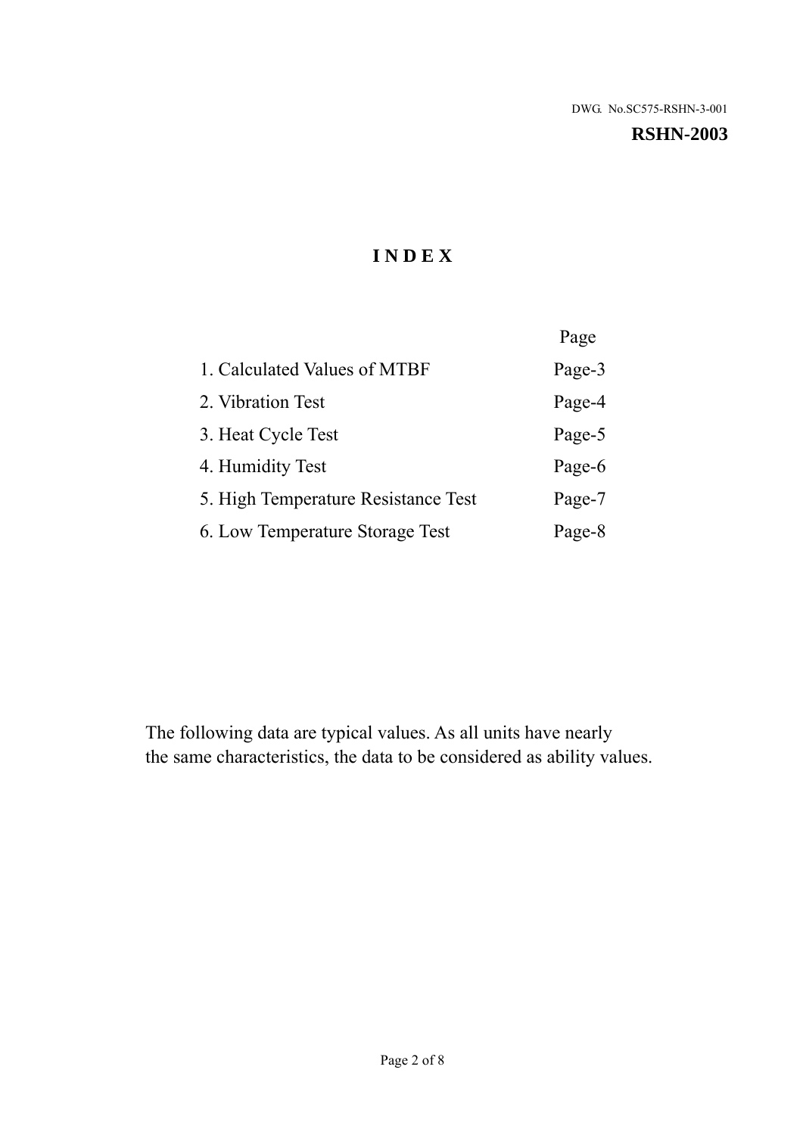#### **RSHN-2003**

# **I N D E X**

|                                     | Page   |
|-------------------------------------|--------|
| 1. Calculated Values of MTBF        | Page-3 |
| 2. Vibration Test                   | Page-4 |
| 3. Heat Cycle Test                  | Page-5 |
| 4. Humidity Test                    | Page-6 |
| 5. High Temperature Resistance Test | Page-7 |
| 6. Low Temperature Storage Test     | Page-8 |

The following data are typical values. As all units have nearly the same characteristics, the data to be considered as ability values.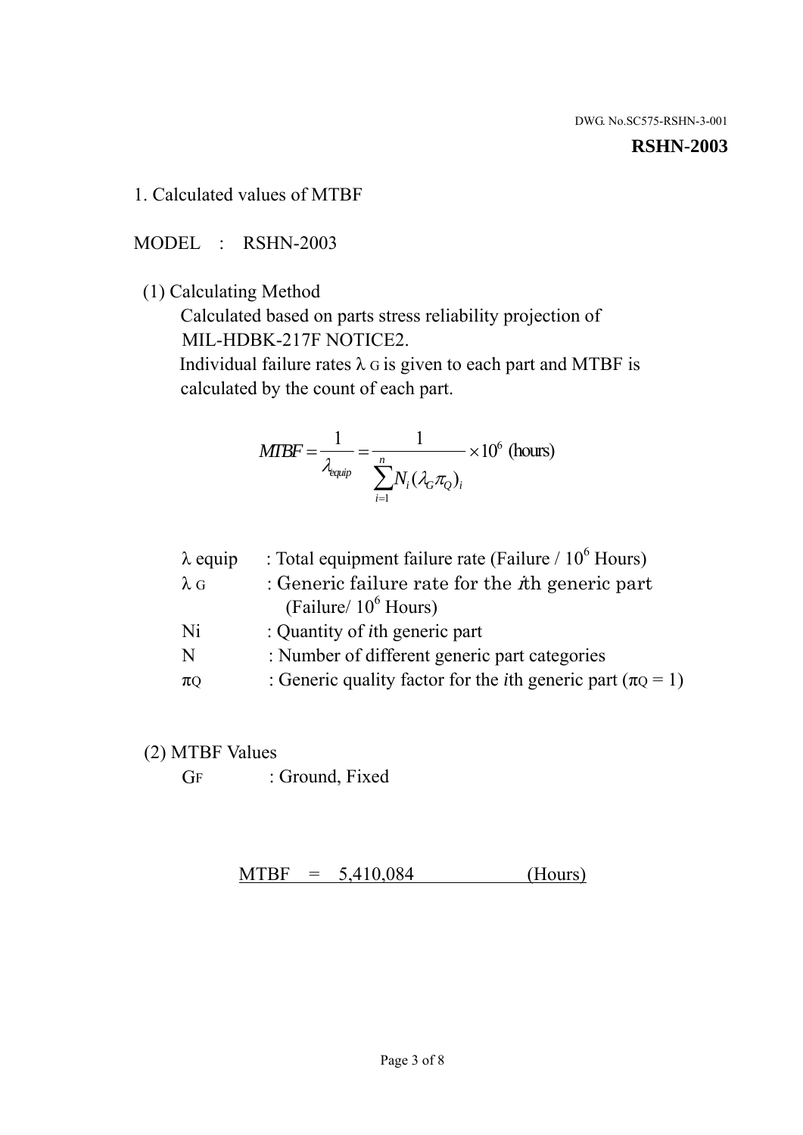#### **RSHN-2003**

1. Calculated values of MTBF

MODEL : RSHN-2003

(1) Calculating Method

 Calculated based on parts stress reliability projection of MIL-HDBK-217F NOTICE2.

Individual failure rates  $\lambda$  G is given to each part and MTBF is calculated by the count of each part.

$$
MTBF = \frac{1}{\lambda_{\text{equip}}} = \frac{1}{\sum_{i=1}^{n} N_i (\lambda_G \pi_Q)_i} \times 10^6 \text{ (hours)}
$$

| $\lambda$ equip | : Total equipment failure rate (Failure $/ 10^6$ Hours)                   |
|-----------------|---------------------------------------------------------------------------|
| $\lambda$ G     | : Generic failure rate for the $\hbar$ generic part                       |
|                 | (Failure/ $10^6$ Hours)                                                   |
| Ni              | : Quantity of <i>i</i> th generic part                                    |
| N               | : Number of different generic part categories                             |
| $\pi$ Q         | : Generic quality factor for the <i>i</i> th generic part ( $\pi Q = 1$ ) |

- (2) MTBF Values
	- GF : Ground, Fixed

 $MTBF = 5,410,084$  (Hours)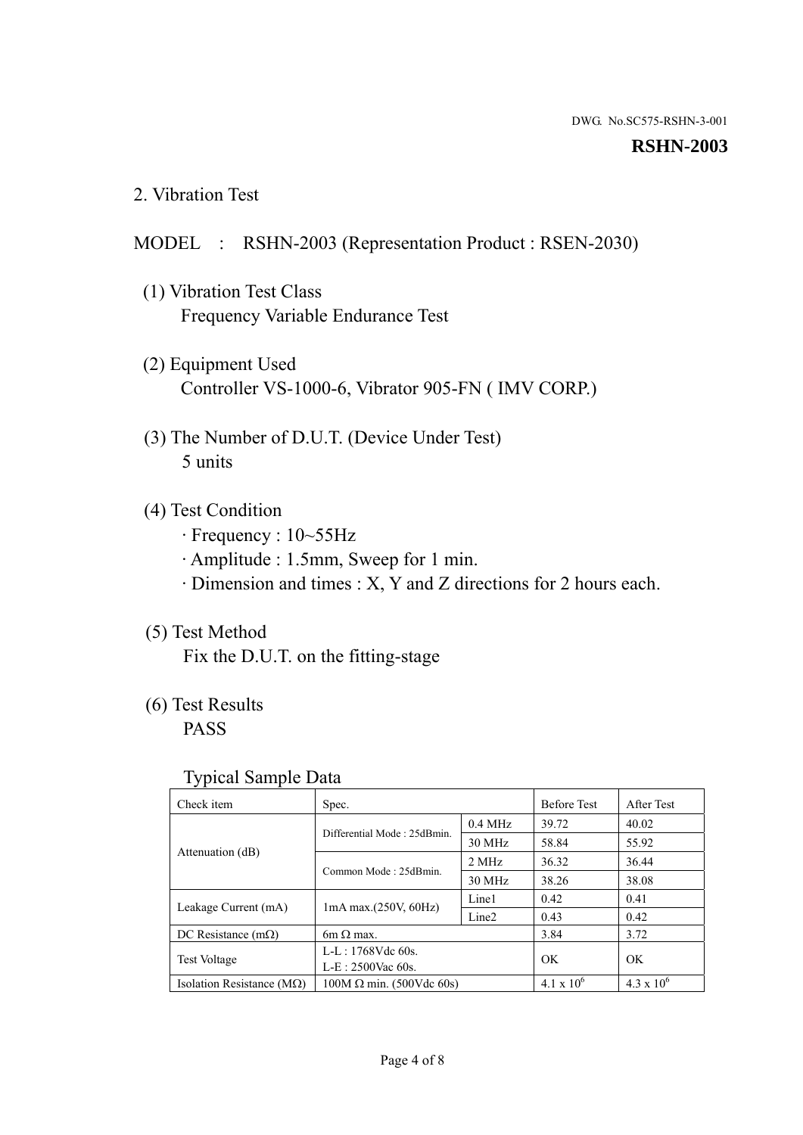#### **RSHN-2003**

2. Vibration Test

# MODEL : RSHN-2003 (Representation Product : RSEN-2030)

- (1) Vibration Test Class Frequency Variable Endurance Test
- (2) Equipment Used Controller VS-1000-6, Vibrator 905-FN ( IMV CORP.)
- (3) The Number of D.U.T. (Device Under Test) 5 units
- (4) Test Condition
	- · Frequency : 10~55Hz
	- · Amplitude : 1.5mm, Sweep for 1 min.
	- · Dimension and times : X, Y and Z directions for 2 hours each.

# (5) Test Method

Fix the D.U.T. on the fitting-stage

# (6) Test Results

PASS

#### Typical Sample Data

| . .                           |                                                         |           |                     |                     |
|-------------------------------|---------------------------------------------------------|-----------|---------------------|---------------------|
| Check item                    | Spec.                                                   |           | <b>Before Test</b>  | After Test          |
|                               | Differential Mode: 25dBmin.                             | $0.4$ MHz | 39.72               | 40.02               |
|                               |                                                         | 30 MHz    | 58.84               | 55.92               |
| Attenuation (dB)              | Common Mode: 25dBmin.                                   | 2 MHz     | 36.32               | 36.44               |
|                               |                                                         | 30 MHz    | 38.26               | 38.08               |
| Leakage Current (mA)          | Line1<br>$1mA$ max. $(250V, 60Hz)$<br>Line <sub>2</sub> |           | 0.42                | 0.41                |
|                               |                                                         |           | 0.43                | 0.42                |
| DC Resistance $(m\Omega)$     | $6m \Omega$ max.                                        |           | 3.84                | 3.72                |
| <b>Test Voltage</b>           | $L-L: 1768Vdc$ 60s.                                     |           | OK                  | OK.                 |
|                               | $L-E$ : 2500Vac 60s.                                    |           |                     |                     |
| Isolation Resistance ( $MQ$ ) | $100M \Omega$ min. (500Vdc 60s)                         |           | $4.1 \times 10^{6}$ | $4.3 \times 10^{6}$ |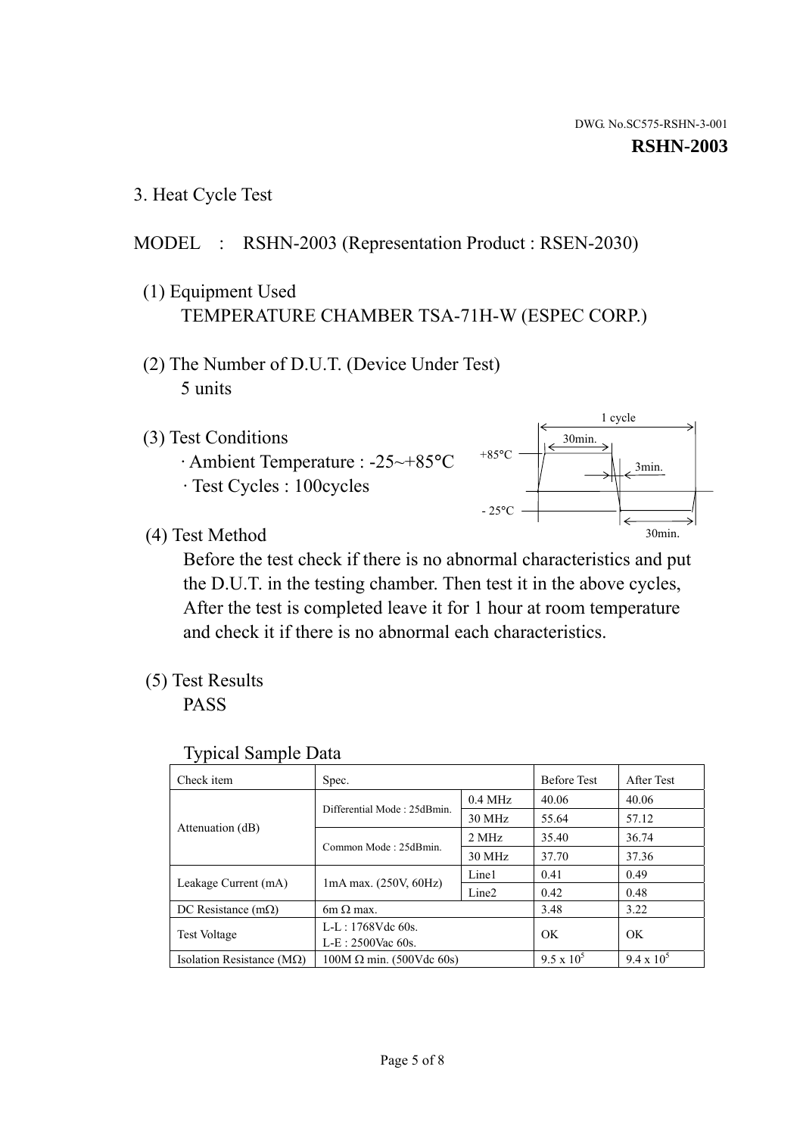1 cycle

30min.

3min.

30min.

3. Heat Cycle Test

# MODEL : RSHN-2003 (Representation Product : RSEN-2030)

- (1) Equipment Used TEMPERATURE CHAMBER TSA-71H-W (ESPEC CORP.)
- (2) The Number of D.U.T. (Device Under Test) 5 units
- (3) Test Conditions
	- · Ambient Temperature : -25~+85°C · Test Cycles : 100cycles
- (4) Test Method

 Before the test check if there is no abnormal characteristics and put the D.U.T. in the testing chamber. Then test it in the above cycles, After the test is completed leave it for 1 hour at room temperature and check it if there is no abnormal each characteristics.

 $+85$ °C

 $-25^{\circ}$ C

(5) Test Results

PASS

| <b>Typical Sample Data</b> |  |  |
|----------------------------|--|--|
|----------------------------|--|--|

| Check item                         | Spec.                           |                   | <b>Before Test</b> | After Test        |
|------------------------------------|---------------------------------|-------------------|--------------------|-------------------|
|                                    | Differential Mode: 25dBmin.     | $0.4$ MHz         | 40.06              | 40.06             |
|                                    |                                 | 30 MHz            | 55.64              | 57.12             |
| Attenuation (dB)                   | Common Mode: 25dBmin.           | 2 MHz             | 35.40              | 36.74             |
|                                    |                                 | 30 MHz            | 37.70              | 37.36             |
| Leakage Current (mA)               | $1mA$ max. $(250V, 60Hz)$       | Line1             | 0.41               | 0.49              |
|                                    |                                 | Line <sub>2</sub> | 0.42               | 0.48              |
| DC Resistance $(m\Omega)$          | $6m \Omega$ max.                |                   | 3.48               | 3.22              |
|                                    | $L-L: 1768Vdc$ 60s.             |                   | OK                 | OK                |
| <b>Test Voltage</b>                | $L-E$ : 2500Vac 60s.            |                   |                    |                   |
| Isolation Resistance ( $M\Omega$ ) | $100M \Omega$ min. (500Vdc 60s) |                   | $9.5 \times 10^5$  | $9.4 \times 10^5$ |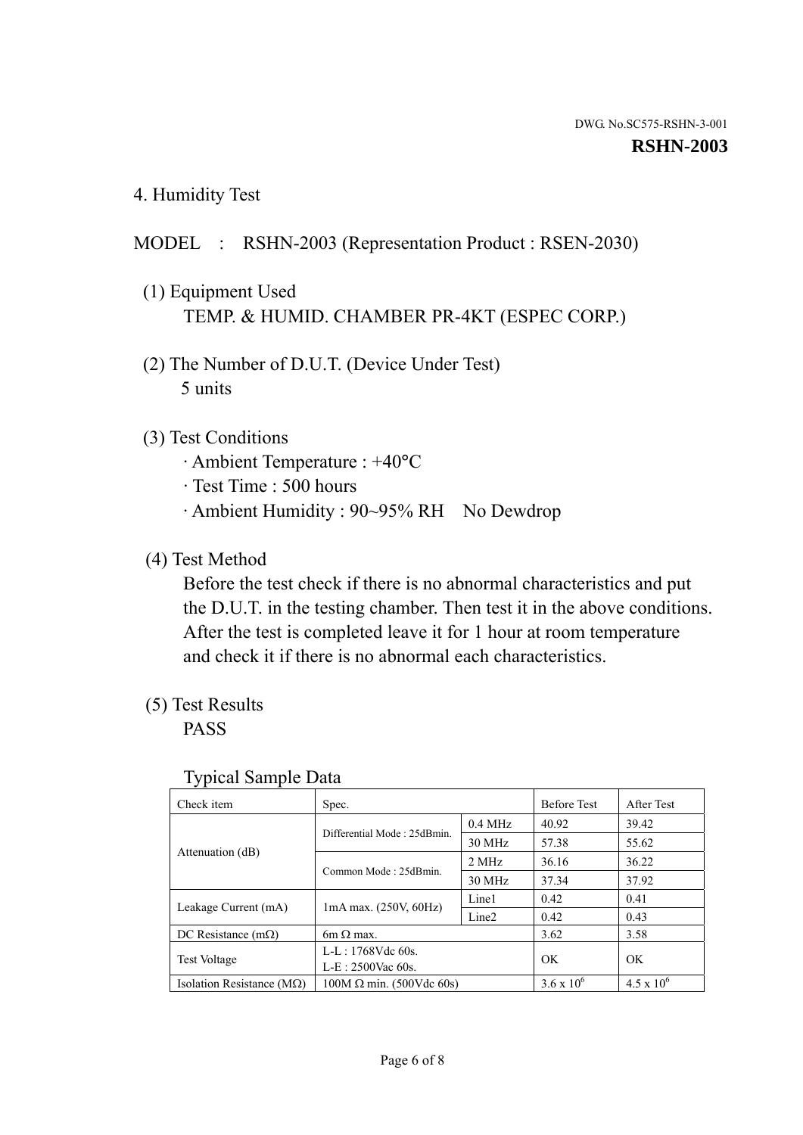4. Humidity Test

# MODEL : RSHN-2003 (Representation Product : RSEN-2030)

- (1) Equipment Used TEMP. & HUMID. CHAMBER PR-4KT (ESPEC CORP.)
- (2) The Number of D.U.T. (Device Under Test) 5 units

# (3) Test Conditions

- · Ambient Temperature : +40°C
- · Test Time : 500 hours
- · Ambient Humidity : 90~95% RH No Dewdrop

# (4) Test Method

 Before the test check if there is no abnormal characteristics and put the D.U.T. in the testing chamber. Then test it in the above conditions. After the test is completed leave it for 1 hour at room temperature and check it if there is no abnormal each characteristics.

# (5) Test Results

PASS

| ╯▴                                 |                                 |                   |                     |                     |
|------------------------------------|---------------------------------|-------------------|---------------------|---------------------|
| Check item                         | Spec.                           |                   | <b>Before Test</b>  | After Test          |
|                                    | Differential Mode: 25dBmin.     | $0.4$ MHz         | 40.92               | 39.42               |
|                                    |                                 | 30 MHz            | 57.38               | 55.62               |
| Attenuation (dB)                   | Common Mode: 25dBmin.           | 2 MHz             | 36.16               | 36.22               |
|                                    |                                 | 30 MHz            | 37.34               | 37.92               |
| Leakage Current (mA)               | $1mA$ max. $(250V, 60Hz)$       | Line1             | 0.42                | 0.41                |
|                                    |                                 | Line <sub>2</sub> | 0.42                | 0.43                |
| DC Resistance $(m\Omega)$          | $6m \Omega$ max.                |                   | 3.62                | 3.58                |
| <b>Test Voltage</b>                | $L-L: 1768Vdc$ 60s.             |                   | OK                  | OK                  |
|                                    | $L-E: 2500$ Vac 60s.            |                   |                     |                     |
| Isolation Resistance ( $M\Omega$ ) | $100M \Omega$ min. (500Vdc 60s) |                   | $3.6 \times 10^{6}$ | $4.5 \times 10^{6}$ |

#### Typical Sample Data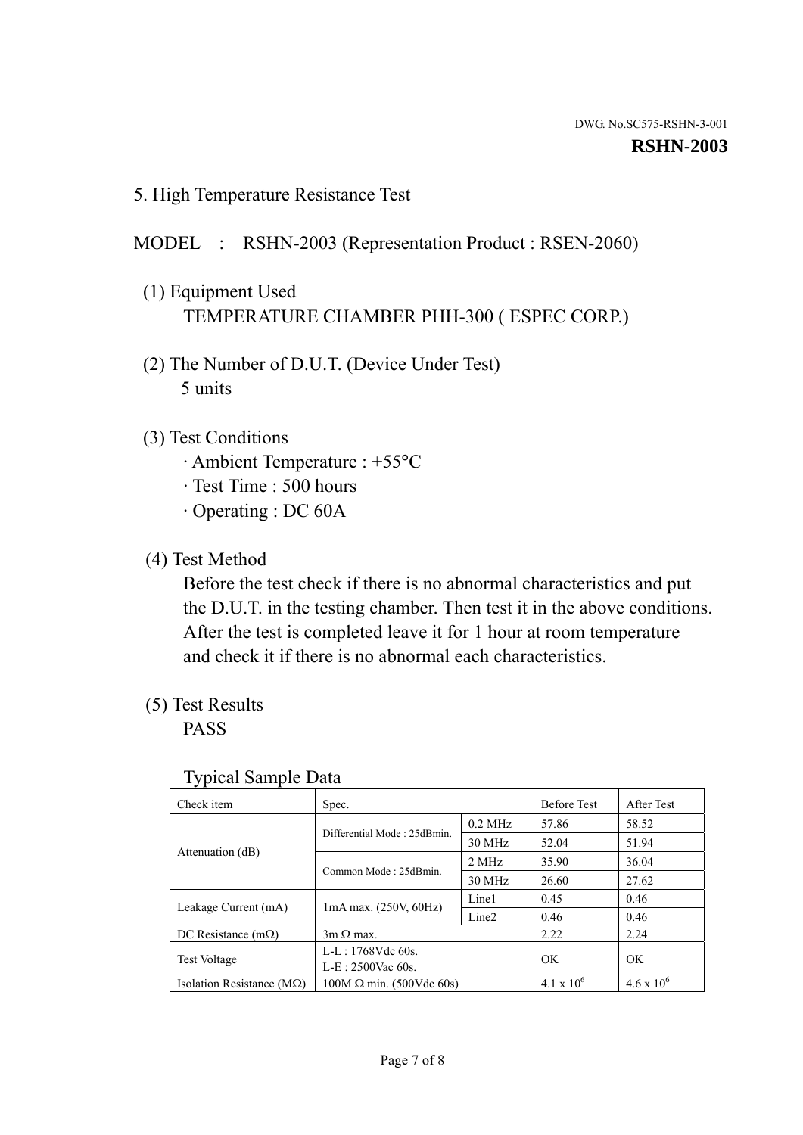5. High Temperature Resistance Test

### MODEL : RSHN-2003 (Representation Product : RSEN-2060)

- (1) Equipment Used TEMPERATURE CHAMBER PHH-300 ( ESPEC CORP.)
- (2) The Number of D.U.T. (Device Under Test) 5 units
- (3) Test Conditions
	- · Ambient Temperature : +55°C
	- · Test Time : 500 hours
	- · Operating : DC 60A
- (4) Test Method

 Before the test check if there is no abnormal characteristics and put the D.U.T. in the testing chamber. Then test it in the above conditions. After the test is completed leave it for 1 hour at room temperature and check it if there is no abnormal each characteristics.

(5) Test Results

PASS

| ╯┸                                 |                                                         |           |                     |                     |
|------------------------------------|---------------------------------------------------------|-----------|---------------------|---------------------|
| Check item                         | Spec.                                                   |           | <b>Before Test</b>  | After Test          |
|                                    | Differential Mode: 25dBmin.                             | $0.2$ MHz | 57.86               | 58.52               |
|                                    |                                                         | 30 MHz    | 52.04               | 51.94               |
| Attenuation (dB)                   | Common Mode: 25dBmin.                                   | 2 MHz     | 35.90               | 36.04               |
|                                    |                                                         | 30 MHz    | 26.60               | 27.62               |
| Leakage Current (mA)               | Line1<br>$1mA$ max. $(250V, 60Hz)$<br>Line <sub>2</sub> |           | 0.45                | 0.46                |
|                                    |                                                         |           | 0.46                | 0.46                |
| DC Resistance $(m\Omega)$          | $3m \Omega$ max.                                        |           | 2.22                | 2.24                |
| <b>Test Voltage</b>                | $L-L: 1768Vdc$ 60s.                                     |           | OK                  | OK                  |
|                                    | $L-E: 2500$ Vac 60s.                                    |           |                     |                     |
| Isolation Resistance ( $M\Omega$ ) | $100M \Omega$ min. (500Vdc 60s)                         |           | $4.1 \times 10^{6}$ | $4.6 \times 10^{6}$ |

#### Typical Sample Data